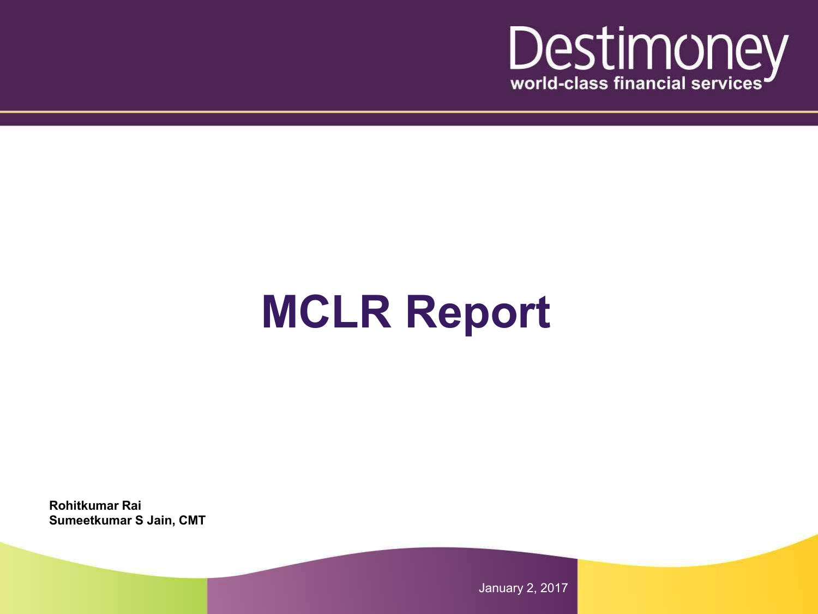

## **MCLR Report**

**Rohitkumar Rai Sumeetkumar S Jain, CMT**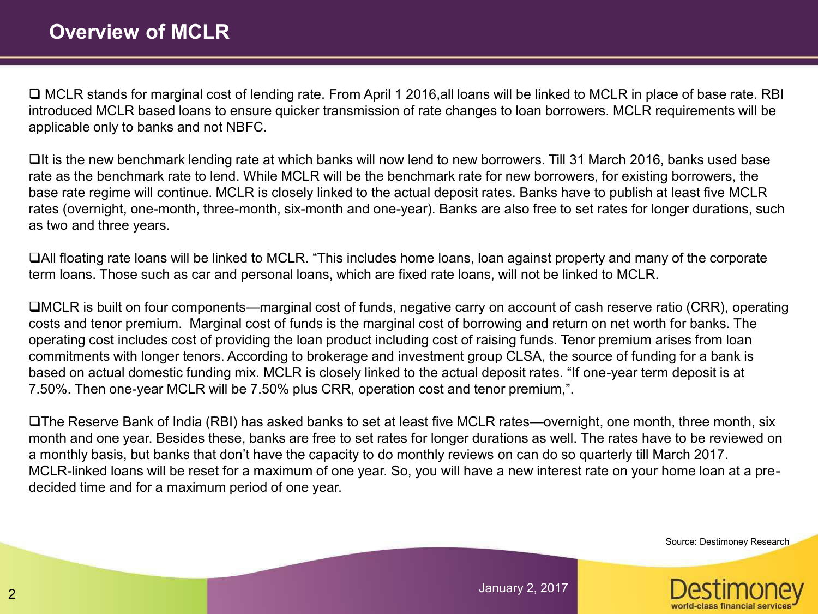□ MCLR stands for marginal cost of lending rate. From April 1 2016,all loans will be linked to MCLR in place of base rate. RBI introduced MCLR based loans to ensure quicker transmission of rate changes to loan borrowers. MCLR requirements will be applicable only to banks and not NBFC.

 $\Box$ It is the new benchmark lending rate at which banks will now lend to new borrowers. Till 31 March 2016, banks used base rate as the benchmark rate to lend. While MCLR will be the benchmark rate for new borrowers, for existing borrowers, the base rate regime will continue. MCLR is closely linked to the actual deposit rates. Banks have to publish at least five MCLR rates (overnight, one-month, three-month, six-month and one-year). Banks are also free to set rates for longer durations, such as two and three years.

All floating rate loans will be linked to MCLR. "This includes home loans, loan against property and many of the corporate term loans. Those such as car and personal loans, which are fixed rate loans, will not be linked to MCLR.

MCLR is built on four components—marginal cost of funds, negative carry on account of cash reserve ratio (CRR), operating costs and tenor premium. Marginal cost of funds is the marginal cost of borrowing and return on net worth for banks. The operating cost includes cost of providing the loan product including cost of raising funds. Tenor premium arises from loan commitments with longer tenors. According to brokerage and investment group CLSA, the source of funding for a bank is based on actual domestic funding mix. MCLR is closely linked to the actual deposit rates. "If one-year term deposit is at 7.50%. Then one-year MCLR will be 7.50% plus CRR, operation cost and tenor premium,".

The Reserve Bank of India (RBI) has asked banks to set at least five MCLR rates—overnight, one month, three month, six month and one year. Besides these, banks are free to set rates for longer durations as well. The rates have to be reviewed on a monthly basis, but banks that don't have the capacity to do monthly reviews on can do so quarterly till March 2017. MCLR-linked loans will be reset for a maximum of one year. So, you will have a new interest rate on your home loan at a predecided time and for a maximum period of one year.

Source: Destimoney Research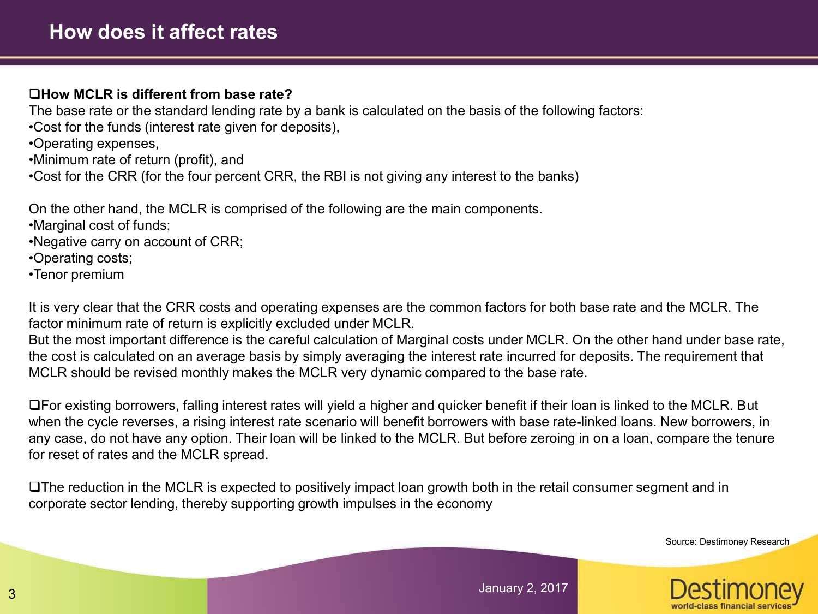## **How MCLR is different from base rate?**

The base rate or the standard lending rate by a bank is calculated on the basis of the following factors:

- •Cost for the funds (interest rate given for deposits),
- •Operating expenses,
- •Minimum rate of return (profit), and
- •Cost for the CRR (for the four percent CRR, the RBI is not giving any interest to the banks)

On the other hand, the MCLR is comprised of the following are the main components.

- •Marginal cost of funds;
- •Negative carry on account of CRR;
- •Operating costs;
- •Tenor premium

It is very clear that the CRR costs and operating expenses are the common factors for both base rate and the MCLR. The factor minimum rate of return is explicitly excluded under MCLR.

But the most important difference is the careful calculation of Marginal costs under MCLR. On the other hand under base rate, the cost is calculated on an average basis by simply averaging the interest rate incurred for deposits. The requirement that MCLR should be revised monthly makes the MCLR very dynamic compared to the base rate.

For existing borrowers, falling interest rates will yield a higher and quicker benefit if their loan is linked to the MCLR. But when the cycle reverses, a rising interest rate scenario will benefit borrowers with base rate-linked loans. New borrowers, in any case, do not have any option. Their loan will be linked to the MCLR. But before zeroing in on a loan, compare the tenure for reset of rates and the MCLR spread.

The reduction in the MCLR is expected to positively impact loan growth both in the retail consumer segment and in corporate sector lending, thereby supporting growth impulses in the economy

Source: Destimoney Research

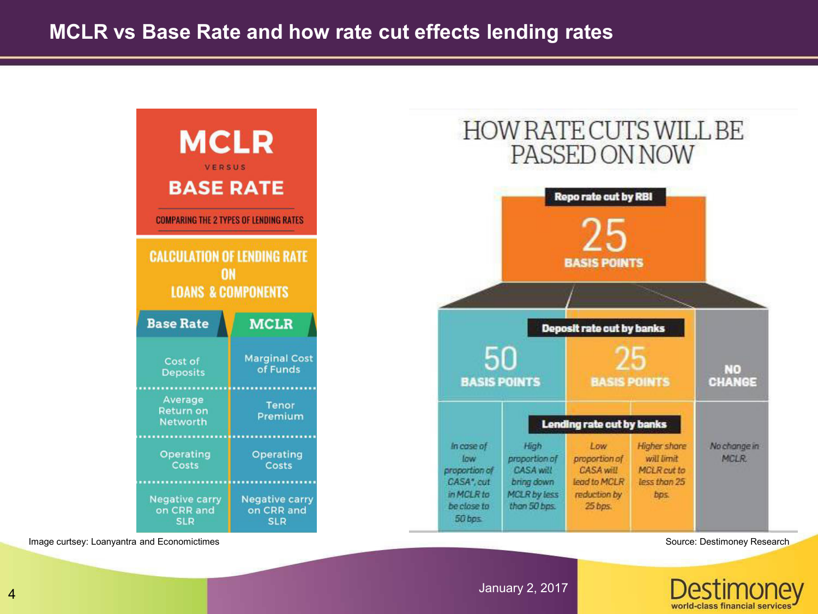

Image curtsey: Loanyantra and Economictimes Source: Destimoney Research

world-class financial set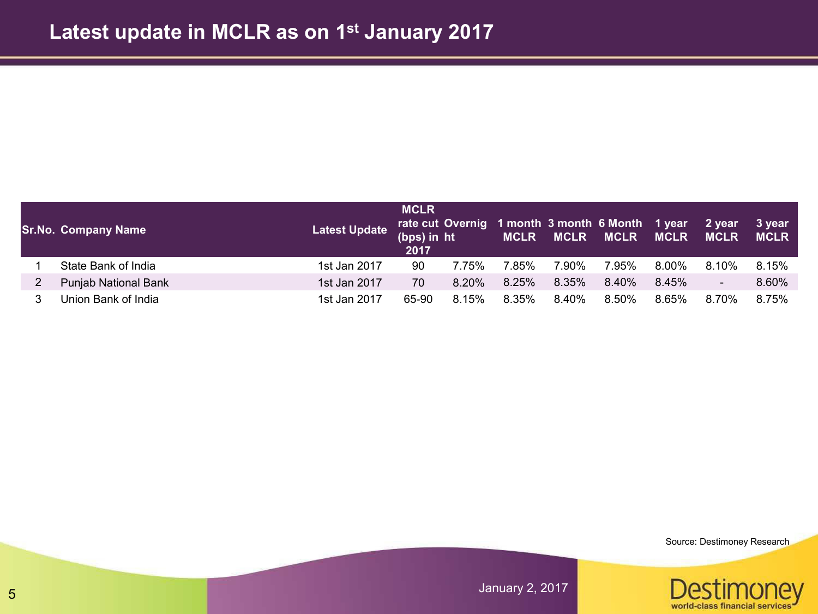| <b>Sr.No. Company Name</b> | <b>Latest Update</b> | <b>MCLR</b><br>(bps) in ht<br>2017 |          | rate cut Overnig 1 month 3 month 6 Month 1 year<br><b>MCLR</b> | <b>MCLR</b> | <b>MCLR</b> | <b>MCLR</b> | 2 year<br><b>MCLR</b>    | 3 year<br><b>MCLR</b> |
|----------------------------|----------------------|------------------------------------|----------|----------------------------------------------------------------|-------------|-------------|-------------|--------------------------|-----------------------|
| State Bank of India        | 1st Jan 2017         | 90                                 | 7.75%    | 7.85%                                                          | 7.90%       | 7.95%       | 8.00%       | $8.10\%$                 | 8.15%                 |
| Punjab National Bank       | 1st Jan 2017         | 70                                 | $8.20\%$ | 8.25%                                                          | 8.35%       | $8.40\%$    | 8.45%       | $\overline{\phantom{a}}$ | 8.60%                 |
| Union Bank of India        | 1st Jan 2017         | 65-90                              | 8.15%    | 8.35%                                                          | 8.40%       | 8.50%       | 8.65%       | 8.70%                    | 8.75%                 |

Source: Destimoney Research

Destimone

ey